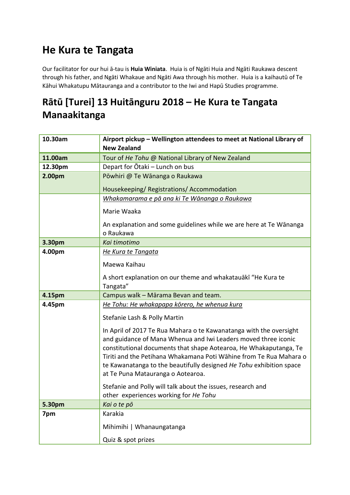## **He Kura te Tangata**

Our facilitator for our hui ā-tau is **Huia Winiata**. Huia is of Ngāti Huia and Ngāti Raukawa descent through his father, and Ngāti Whakaue and Ngāti Awa through his mother. Huia is a kaihautū of Te Kāhui Whakatupu Mātauranga and a contributor to the Iwi and Hapū Studies programme.

#### **Rātū [Turei] 13 Huitānguru 2018 – He Kura te Tangata Manaakitanga**

| 10.30am | Airport pickup - Wellington attendees to meet at National Library of                                                                                                                                                                                                                                                                                                                        |
|---------|---------------------------------------------------------------------------------------------------------------------------------------------------------------------------------------------------------------------------------------------------------------------------------------------------------------------------------------------------------------------------------------------|
|         | <b>New Zealand</b>                                                                                                                                                                                                                                                                                                                                                                          |
| 11.00am | Tour of He Tohu @ National Library of New Zealand                                                                                                                                                                                                                                                                                                                                           |
| 12.30pm | Depart for Ōtaki - Lunch on bus                                                                                                                                                                                                                                                                                                                                                             |
| 2.00pm  | Pōwhiri @ Te Wānanga o Raukawa                                                                                                                                                                                                                                                                                                                                                              |
|         | Housekeeping/Registrations/Accommodation                                                                                                                                                                                                                                                                                                                                                    |
|         | Whakamarama e pā ana ki Te Wānanga o Raukawa                                                                                                                                                                                                                                                                                                                                                |
|         | Marie Waaka                                                                                                                                                                                                                                                                                                                                                                                 |
|         | An explanation and some guidelines while we are here at Te Wānanga<br>o Raukawa                                                                                                                                                                                                                                                                                                             |
| 3.30pm  | Kai timotimo                                                                                                                                                                                                                                                                                                                                                                                |
| 4.00pm  | He Kura te Tangata                                                                                                                                                                                                                                                                                                                                                                          |
|         | Maewa Kaihau                                                                                                                                                                                                                                                                                                                                                                                |
|         | A short explanation on our theme and whakatauaki "He Kura te<br>Tangata"                                                                                                                                                                                                                                                                                                                    |
| 4.15pm  | Campus walk - Mārama Bevan and team.                                                                                                                                                                                                                                                                                                                                                        |
| 4.45pm  | He Tohu: He whakapapa kōrero, he whenua kura                                                                                                                                                                                                                                                                                                                                                |
|         | Stefanie Lash & Polly Martin                                                                                                                                                                                                                                                                                                                                                                |
|         | In April of 2017 Te Rua Mahara o te Kawanatanga with the oversight<br>and guidance of Mana Whenua and Iwi Leaders moved three iconic<br>constitutional documents that shape Aotearoa, He Whakaputanga, Te<br>Tiriti and the Petihana Whakamana Poti Wāhine from Te Rua Mahara o<br>te Kawanatanga to the beautifully designed He Tohu exhibition space<br>at Te Puna Matauranga o Aotearoa. |
|         | Stefanie and Polly will talk about the issues, research and<br>other experiences working for He Tohu                                                                                                                                                                                                                                                                                        |
| 5.30pm  | Kai o te pō                                                                                                                                                                                                                                                                                                                                                                                 |
| 7pm     | Karakia                                                                                                                                                                                                                                                                                                                                                                                     |
|         | Mihimihi   Whanaungatanga                                                                                                                                                                                                                                                                                                                                                                   |
|         |                                                                                                                                                                                                                                                                                                                                                                                             |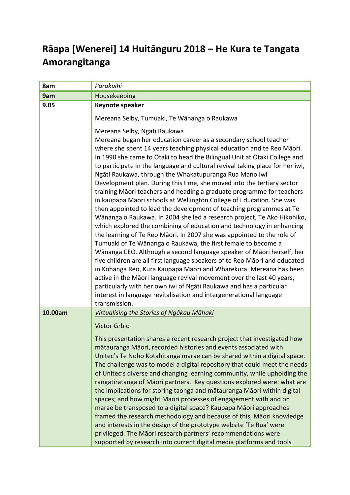### **Rāapa [Wenerei] 14 Huitānguru 2018 – He Kura te Tangata Amorangitanga**

| 8am     | Parakuihi                                                                                                                                                                                                                                                                                      |
|---------|------------------------------------------------------------------------------------------------------------------------------------------------------------------------------------------------------------------------------------------------------------------------------------------------|
| 9am     | Housekeeping                                                                                                                                                                                                                                                                                   |
| 9.05    | Keynote speaker                                                                                                                                                                                                                                                                                |
|         | Mereana Selby, Tumuaki, Te Wānanga o Raukawa                                                                                                                                                                                                                                                   |
|         | Mereana Selby, Ngāti Raukawa<br>Mereana began her education career as a secondary school teacher<br>where she spent 14 years teaching physical education and te Reo Māori.                                                                                                                     |
|         | In 1990 she came to Otaki to head the Bilingual Unit at Otaki College and<br>to participate in the language and cultural revival taking place for her iwi,<br>Ngāti Raukawa, through the Whakatupuranga Rua Mano Iwi                                                                           |
|         | Development plan. During this time, she moved into the tertiary sector<br>training Māori teachers and heading a graduate programme for teachers<br>in kaupapa Māori schools at Wellington College of Education. She was<br>then appointed to lead the development of teaching programmes at Te |
|         | Wānanga o Raukawa. In 2004 she led a research project, Te Ako Hikohiko,<br>which explored the combining of education and technology in enhancing<br>the learning of Te Reo Māori. In 2007 she was appointed to the role of                                                                     |
|         | Tumuaki of Te Wānanga o Raukawa, the first female to become a<br>Wänanga CEO. Although a second language speaker of Māori herself, her<br>five children are all first language speakers of te Reo Māori and educated                                                                           |
|         | in Kōhanga Reo, Kura Kaupapa Māori and Wharekura. Mereana has been<br>active in the Māori language revival movement over the last 40 years,                                                                                                                                                    |
|         | particularly with her own iwi of Ngāti Raukawa and has a particular<br>interest in language revitalisation and intergenerational language                                                                                                                                                      |
|         | transmission.                                                                                                                                                                                                                                                                                  |
| 10.00am | Virtualising the Stories of Ngākau Māhaki                                                                                                                                                                                                                                                      |
|         | <b>Victor Grbic</b>                                                                                                                                                                                                                                                                            |
|         | This presentation shares a recent research project that investigated how                                                                                                                                                                                                                       |
|         | mātauranga Māori, recorded histories and events associated with                                                                                                                                                                                                                                |
|         | Unitec's Te Noho Kotahitanga marae can be shared within a digital space.                                                                                                                                                                                                                       |
|         | The challenge was to model a digital repository that could meet the needs<br>of Unitec's diverse and changing learning community, while upholding the                                                                                                                                          |
|         | rangatiratanga of Māori partners. Key questions explored were: what are                                                                                                                                                                                                                        |
|         | the implications for storing taonga and matauranga Maori within digital                                                                                                                                                                                                                        |
|         | spaces; and how might Māori processes of engagement with and on                                                                                                                                                                                                                                |
|         | marae be transposed to a digital space? Kaupapa Māori approaches                                                                                                                                                                                                                               |
|         | framed the research methodology and because of this, Māori knowledge                                                                                                                                                                                                                           |
|         | and interests in the design of the prototype website 'Te Rua' were                                                                                                                                                                                                                             |
|         | privileged. The Māori research partners' recommendations were<br>supported by research into current digital media platforms and tools                                                                                                                                                          |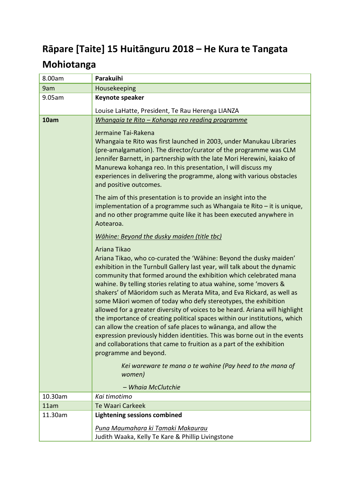# **Rāpare [Taite] 15 Huitānguru 2018 – He Kura te Tangata**

## **Mohiotanga**

| 8.00am  | Parakuihi                                                                                                                                                                                                                                                                                                                                                                                                                                                                                                                                                                                                                                                                                                                                                                                                                                                                                                                         |
|---------|-----------------------------------------------------------------------------------------------------------------------------------------------------------------------------------------------------------------------------------------------------------------------------------------------------------------------------------------------------------------------------------------------------------------------------------------------------------------------------------------------------------------------------------------------------------------------------------------------------------------------------------------------------------------------------------------------------------------------------------------------------------------------------------------------------------------------------------------------------------------------------------------------------------------------------------|
| 9am     | Housekeeping                                                                                                                                                                                                                                                                                                                                                                                                                                                                                                                                                                                                                                                                                                                                                                                                                                                                                                                      |
| 9.05am  | Keynote speaker                                                                                                                                                                                                                                                                                                                                                                                                                                                                                                                                                                                                                                                                                                                                                                                                                                                                                                                   |
|         | Louise LaHatte, President, Te Rau Herenga LIANZA                                                                                                                                                                                                                                                                                                                                                                                                                                                                                                                                                                                                                                                                                                                                                                                                                                                                                  |
| 10am    | Whangaia te Rito - Kohanga reo reading programme                                                                                                                                                                                                                                                                                                                                                                                                                                                                                                                                                                                                                                                                                                                                                                                                                                                                                  |
|         | Jermaine Tai-Rakena<br>Whangaia te Rito was first launched in 2003, under Manukau Libraries<br>(pre-amalgamation). The director/curator of the programme was CLM<br>Jennifer Barnett, in partnership with the late Mori Herewini, kaiako of<br>Manurewa kohanga reo. In this presentation, I will discuss my<br>experiences in delivering the programme, along with various obstacles<br>and positive outcomes.<br>The aim of this presentation is to provide an insight into the<br>implementation of a programme such as Whangaia te Rito $-$ it is unique,<br>and no other programme quite like it has been executed anywhere in<br>Aotearoa.                                                                                                                                                                                                                                                                                  |
|         | Wāhine: Beyond the dusky maiden (title tbc)                                                                                                                                                                                                                                                                                                                                                                                                                                                                                                                                                                                                                                                                                                                                                                                                                                                                                       |
|         | Ariana Tikao<br>Ariana Tikao, who co-curated the 'Wāhine: Beyond the dusky maiden'<br>exhibition in the Turnbull Gallery last year, will talk about the dynamic<br>community that formed around the exhibition which celebrated mana<br>wahine. By telling stories relating to atua wahine, some 'movers &<br>shakers' of Māoridom such as Merata Mita, and Eva Rickard, as well as<br>some Māori women of today who defy stereotypes, the exhibition<br>allowed for a greater diversity of voices to be heard. Ariana will highlight<br>the importance of creating political spaces within our institutions, which<br>can allow the creation of safe places to wananga, and allow the<br>expression previously hidden identities. This was borne out in the events<br>and collaborations that came to fruition as a part of the exhibition<br>programme and beyond.<br>Kei wareware te mana o te wahine (Pay heed to the mana of |
|         | women)<br>- Whaia McClutchie                                                                                                                                                                                                                                                                                                                                                                                                                                                                                                                                                                                                                                                                                                                                                                                                                                                                                                      |
| 10.30am | Kai timotimo                                                                                                                                                                                                                                                                                                                                                                                                                                                                                                                                                                                                                                                                                                                                                                                                                                                                                                                      |
| 11am    | <b>Te Waari Carkeek</b>                                                                                                                                                                                                                                                                                                                                                                                                                                                                                                                                                                                                                                                                                                                                                                                                                                                                                                           |
| 11.30am | <b>Lightening sessions combined</b>                                                                                                                                                                                                                                                                                                                                                                                                                                                                                                                                                                                                                                                                                                                                                                                                                                                                                               |
|         | Puna Maumahara ki Tamaki Makaurau<br>Judith Waaka, Kelly Te Kare & Phillip Livingstone                                                                                                                                                                                                                                                                                                                                                                                                                                                                                                                                                                                                                                                                                                                                                                                                                                            |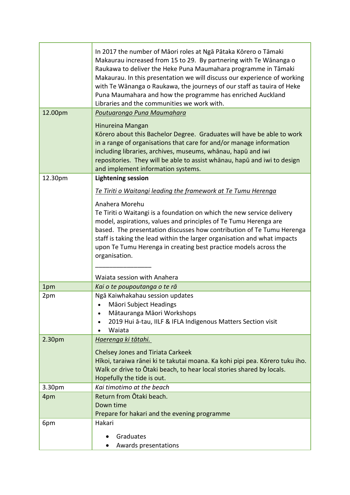|         | In 2017 the number of Māori roles at Ngā Pātaka Kōrero o Tāmaki<br>Makaurau increased from 15 to 29. By partnering with Te Wānanga o<br>Raukawa to deliver the Heke Puna Maumahara programme in Tāmaki<br>Makaurau. In this presentation we will discuss our experience of working<br>with Te Wānanga o Raukawa, the journeys of our staff as tauira of Heke<br>Puna Maumahara and how the programme has enriched Auckland<br>Libraries and the communities we work with. |
|---------|---------------------------------------------------------------------------------------------------------------------------------------------------------------------------------------------------------------------------------------------------------------------------------------------------------------------------------------------------------------------------------------------------------------------------------------------------------------------------|
| 12.00pm | Poutuarongo Puna Maumahara                                                                                                                                                                                                                                                                                                                                                                                                                                                |
|         | Hinureina Mangan<br>Körero about this Bachelor Degree. Graduates will have be able to work<br>in a range of organisations that care for and/or manage information<br>including libraries, archives, museums, whānau, hapū and iwi<br>repositories. They will be able to assist whanau, hapu and iwi to design<br>and implement information systems.                                                                                                                       |
| 12.30pm | <b>Lightening session</b>                                                                                                                                                                                                                                                                                                                                                                                                                                                 |
|         | Te Tiriti o Waitangi leading the framework at Te Tumu Herenga                                                                                                                                                                                                                                                                                                                                                                                                             |
|         | Anahera Morehu<br>Te Tiriti o Waitangi is a foundation on which the new service delivery<br>model, aspirations, values and principles of Te Tumu Herenga are<br>based. The presentation discusses how contribution of Te Tumu Herenga<br>staff is taking the lead within the larger organisation and what impacts<br>upon Te Tumu Herenga in creating best practice models across the<br>organisation.                                                                    |
|         | Waiata session with Anahera                                                                                                                                                                                                                                                                                                                                                                                                                                               |
| 1pm     | Kai o te poupoutanga o te rā                                                                                                                                                                                                                                                                                                                                                                                                                                              |
| 2pm     | Ngā Kaiwhakahau session updates<br>Māori Subject Headings<br>Mātauranga Māori Workshops<br>$\bullet$<br>2019 Hui ā-tau, IILF & IFLA Indigenous Matters Section visit<br>Waiata                                                                                                                                                                                                                                                                                            |
| 2.30pm  | <u>Haerenga ki tātahi.</u>                                                                                                                                                                                                                                                                                                                                                                                                                                                |
|         | <b>Chelsey Jones and Tiriata Carkeek</b><br>Hīkoi, taraiwa rānei ki te takutai moana. Ka kohi pipi pea. Kōrero tuku iho.<br>Walk or drive to Otaki beach, to hear local stories shared by locals.<br>Hopefully the tide is out.                                                                                                                                                                                                                                           |
| 3.30pm  | Kai timotimo at the beach                                                                                                                                                                                                                                                                                                                                                                                                                                                 |
| 4pm     | Return from Ōtaki beach.<br>Down time<br>Prepare for hakari and the evening programme                                                                                                                                                                                                                                                                                                                                                                                     |
| 6pm     | Hakari                                                                                                                                                                                                                                                                                                                                                                                                                                                                    |
|         | Graduates<br>Awards presentations                                                                                                                                                                                                                                                                                                                                                                                                                                         |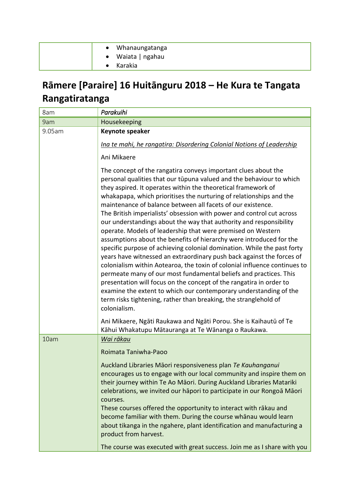| • Whanaungatanga  |
|-------------------|
| • Waiata   ngahau |
| Karakia           |

### **Rāmere [Paraire] 16 Huitānguru 2018 – He Kura te Tangata Rangatiratanga**

| 8am    | Parakuihi                                                                                                                                                                                                                                                                                                                                                                                                                                                                                                                                                                                                                                                                                                                                      |
|--------|------------------------------------------------------------------------------------------------------------------------------------------------------------------------------------------------------------------------------------------------------------------------------------------------------------------------------------------------------------------------------------------------------------------------------------------------------------------------------------------------------------------------------------------------------------------------------------------------------------------------------------------------------------------------------------------------------------------------------------------------|
| 9am    | Housekeeping                                                                                                                                                                                                                                                                                                                                                                                                                                                                                                                                                                                                                                                                                                                                   |
| 9.05am | Keynote speaker<br>Ina te mahi, he rangatira: Disordering Colonial Notions of Leadership                                                                                                                                                                                                                                                                                                                                                                                                                                                                                                                                                                                                                                                       |
|        | Ani Mikaere<br>The concept of the rangatira conveys important clues about the<br>personal qualities that our tūpuna valued and the behaviour to which<br>they aspired. It operates within the theoretical framework of<br>whakapapa, which prioritises the nurturing of relationships and the<br>maintenance of balance between all facets of our existence.<br>The British imperialists' obsession with power and control cut across                                                                                                                                                                                                                                                                                                          |
|        | our understandings about the way that authority and responsibility<br>operate. Models of leadership that were premised on Western<br>assumptions about the benefits of hierarchy were introduced for the<br>specific purpose of achieving colonial domination. While the past forty<br>years have witnessed an extraordinary push back against the forces of<br>colonialism within Aotearoa, the toxin of colonial influence continues to<br>permeate many of our most fundamental beliefs and practices. This<br>presentation will focus on the concept of the rangatira in order to<br>examine the extent to which our contemporary understanding of the<br>term risks tightening, rather than breaking, the stranglehold of<br>colonialism. |
|        | Ani Mikaere, Ngāti Raukawa and Ngāti Porou. She is Kaihautū of Te<br>Kāhui Whakatupu Mātauranga at Te Wānanga o Raukawa.                                                                                                                                                                                                                                                                                                                                                                                                                                                                                                                                                                                                                       |
| 10am   | Wai rākau<br>Roimata Taniwha-Paoo                                                                                                                                                                                                                                                                                                                                                                                                                                                                                                                                                                                                                                                                                                              |
|        | Auckland Libraries Māori responsiveness plan Te Kauhanganui<br>encourages us to engage with our local community and inspire them on<br>their journey within Te Ao Māori. During Auckland Libraries Matariki<br>celebrations, we invited our hāpori to participate in our Rongoā Māori<br>courses.<br>These courses offered the opportunity to interact with rākau and<br>become familiar with them. During the course whanau would learn<br>about tikanga in the ngahere, plant identification and manufacturing a                                                                                                                                                                                                                             |
|        | product from harvest.<br>The course was executed with great success. Join me as I share with you                                                                                                                                                                                                                                                                                                                                                                                                                                                                                                                                                                                                                                               |